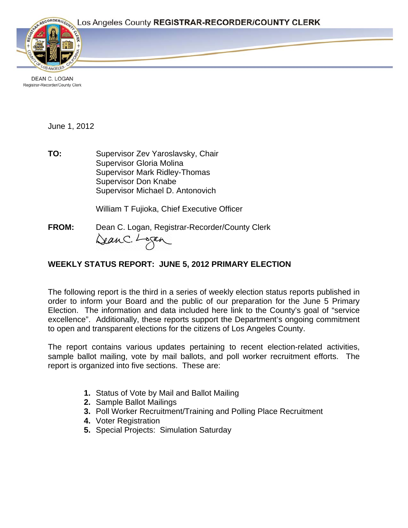

DEAN C. LOGAN Registrar-Recorder/County Clerk

June 1, 2012

**TO:** Supervisor Zev Yaroslavsky, Chair Supervisor Gloria Molina Supervisor Mark Ridley-Thomas Supervisor Don Knabe Supervisor Michael D. Antonovich

William T Fujioka, Chief Executive Officer

**FROM:** Dean C. Logan, Registrar-Recorder/County Clerk DeanC. Logan

# **WEEKLY STATUS REPORT: JUNE 5, 2012 PRIMARY ELECTION**

The following report is the third in a series of weekly election status reports published in order to inform your Board and the public of our preparation for the June 5 Primary Election. The information and data included here link to the County's goal of "service excellence". Additionally, these reports support the Department's ongoing commitment to open and transparent elections for the citizens of Los Angeles County.

The report contains various updates pertaining to recent election-related activities, sample ballot mailing, vote by mail ballots, and poll worker recruitment efforts. The report is organized into five sections. These are:

- **1.** Status of Vote by Mail and Ballot Mailing
- **2.** Sample Ballot Mailings
- **3.** Poll Worker Recruitment/Training and Polling Place Recruitment
- **4.** Voter Registration
- **5.** Special Projects: Simulation Saturday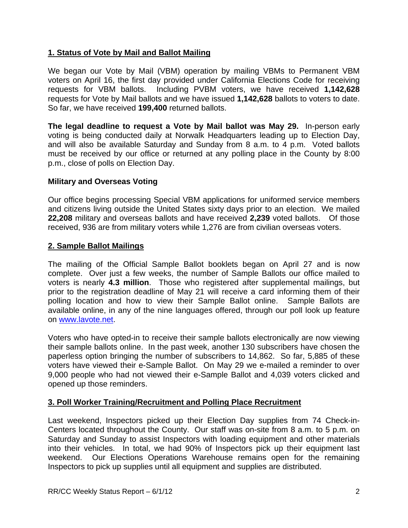# **1. Status of Vote by Mail and Ballot Mailing**

We began our Vote by Mail (VBM) operation by mailing VBMs to Permanent VBM voters on April 16, the first day provided under California Elections Code for receiving requests for VBM ballots. Including PVBM voters, we have received **1,142,628**  requests for Vote by Mail ballots and we have issued **1,142,628** ballots to voters to date. So far, we have received **199,400** returned ballots.

**The legal deadline to request a Vote by Mail ballot was May 29.** In-person early voting is being conducted daily at Norwalk Headquarters leading up to Election Day, and will also be available Saturday and Sunday from 8 a.m. to 4 p.m. Voted ballots must be received by our office or returned at any polling place in the County by 8:00 p.m., close of polls on Election Day.

## **Military and Overseas Voting**

Our office begins processing Special VBM applications for uniformed service members and citizens living outside the United States sixty days prior to an election. We mailed **22,208** military and overseas ballots and have received **2,239** voted ballots. Of those received, 936 are from military voters while 1,276 are from civilian overseas voters.

## **2. Sample Ballot Mailings**

The mailing of the Official Sample Ballot booklets began on April 27 and is now complete. Over just a few weeks, the number of Sample Ballots our office mailed to voters is nearly **4.3 million**. Those who registered after supplemental mailings, but prior to the registration deadline of May 21 will receive a card informing them of their polling location and how to view their Sample Ballot online. Sample Ballots are available online, in any of the nine languages offered, through our poll look up feature on [www.lavote.net](http://www.lavote.net/).

Voters who have opted-in to receive their sample ballots electronically are now viewing their sample ballots online. In the past week, another 130 subscribers have chosen the paperless option bringing the number of subscribers to 14,862. So far, 5,885 of these voters have viewed their e-Sample Ballot. On May 29 we e-mailed a reminder to over 9,000 people who had not viewed their e-Sample Ballot and 4,039 voters clicked and opened up those reminders.

## **3. Poll Worker Training/Recruitment and Polling Place Recruitment**

Last weekend, Inspectors picked up their Election Day supplies from 74 Check-in-Centers located throughout the County. Our staff was on-site from 8 a.m. to 5 p.m. on Saturday and Sunday to assist Inspectors with loading equipment and other materials into their vehicles. In total, we had 90% of Inspectors pick up their equipment last weekend. Our Elections Operations Warehouse remains open for the remaining Inspectors to pick up supplies until all equipment and supplies are distributed.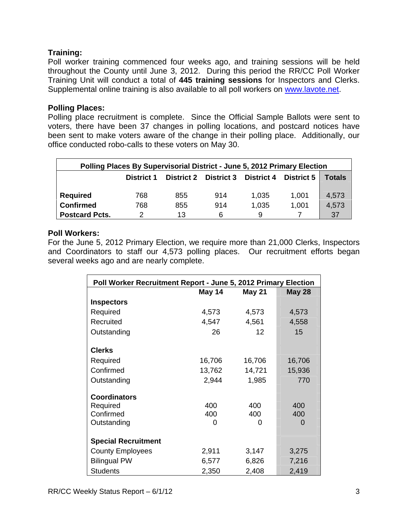## **Training:**

Poll worker training commenced four weeks ago, and training sessions will be held throughout the County until June 3, 2012. During this period the RR/CC Poll Worker Training Unit will conduct a total of **445 training sessions** for Inspectors and Clerks. Supplemental online training is also available to all poll workers on [www.lavote.net.](http://www.lavote.net/)

#### **Polling Places:**

Polling place recruitment is complete. Since the Official Sample Ballots were sent to voters, there have been 37 changes in polling locations, and postcard notices have been sent to make voters aware of the change in their polling place. Additionally, our office conducted robo-calls to these voters on May 30.

| Polling Places By Supervisorial District - June 5, 2012 Primary Election |                   |     |                              |                   |                   |        |
|--------------------------------------------------------------------------|-------------------|-----|------------------------------|-------------------|-------------------|--------|
|                                                                          | <b>District 1</b> |     | <b>District 2 District 3</b> | <b>District 4</b> | <b>District 5</b> | Totals |
| <b>Required</b>                                                          | 768               | 855 | 914                          | 1,035             | 1,001             | 4,573  |
| <b>Confirmed</b>                                                         | 768               | 855 | 914                          | 1,035             | 1,001             | 4,573  |
| <b>Postcard Pcts.</b>                                                    | າ                 | 13  | 6                            | 9                 |                   | 37     |

#### **Poll Workers:**

For the June 5, 2012 Primary Election, we require more than 21,000 Clerks, Inspectors and Coordinators to staff our 4,573 polling places. Our recruitment efforts began several weeks ago and are nearly complete.

| Poll Worker Recruitment Report - June 5, 2012 Primary Election |        |               |               |  |  |  |
|----------------------------------------------------------------|--------|---------------|---------------|--|--|--|
|                                                                | May 14 | <b>May 21</b> | <b>May 28</b> |  |  |  |
| <b>Inspectors</b>                                              |        |               |               |  |  |  |
| Required                                                       | 4,573  | 4,573         | 4,573         |  |  |  |
| Recruited                                                      | 4,547  | 4,561         | 4,558         |  |  |  |
| Outstanding                                                    | 26     | 12            | 15            |  |  |  |
|                                                                |        |               |               |  |  |  |
| <b>Clerks</b>                                                  |        |               |               |  |  |  |
| Required                                                       | 16,706 | 16,706        | 16,706        |  |  |  |
| Confirmed                                                      | 13,762 | 14,721        | 15,936        |  |  |  |
| Outstanding                                                    | 2,944  | 1,985         | 770           |  |  |  |
|                                                                |        |               |               |  |  |  |
| <b>Coordinators</b>                                            |        |               |               |  |  |  |
| Required                                                       | 400    | 400           | 400           |  |  |  |
| Confirmed                                                      | 400    | 400           | 400           |  |  |  |
| Outstanding                                                    | 0      | 0             | $\Omega$      |  |  |  |
| <b>Special Recruitment</b>                                     |        |               |               |  |  |  |
| <b>County Employees</b>                                        | 2,911  | 3,147         | 3,275         |  |  |  |
| <b>Bilingual PW</b>                                            | 6,577  | 6,826         | 7,216         |  |  |  |
| <b>Students</b>                                                | 2,350  | 2,408         | 2,419         |  |  |  |